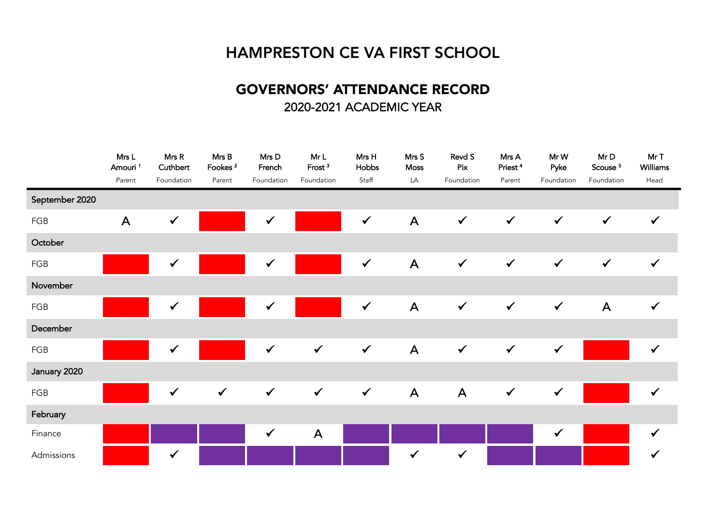## HAMPRESTON CE VA FIRST SCHOOL

## GOVERNORS' ATTENDANCE RECORD 2020-2021 ACADEMIC YEAR

|                | Mrs L<br>Amouri | Mrs R<br>Cuthbert | Mrs B<br>Fookes <sup>2</sup> | Mrs D<br>French | Mr L<br>Frost <sup>3</sup> | Mrs H<br>Hobbs | Mrs S<br>Moss | Revd S<br>Pix | Mrs A<br>Priest <sup>4</sup> | Mr W<br>Pyke | Mr D<br>Scouse <sup>5</sup> | Mr T<br>Williams |
|----------------|-----------------|-------------------|------------------------------|-----------------|----------------------------|----------------|---------------|---------------|------------------------------|--------------|-----------------------------|------------------|
|                | Parent          | Foundation        | Parent                       | Foundation      | Foundation                 | Staff          | LA            | Foundation    | Parent                       | Foundation   | Foundation                  | Head             |
| September 2020 |                 |                   |                              |                 |                            |                |               |               |                              |              |                             |                  |
| FGB            | $\mathsf{A}$    |                   |                              |                 |                            | $\checkmark$   | $\mathsf{A}$  | $\checkmark$  | $\checkmark$                 | $\checkmark$ | $\checkmark$                | $\checkmark$     |
| October        |                 |                   |                              |                 |                            |                |               |               |                              |              |                             |                  |
| FGB            |                 |                   |                              |                 |                            | $\checkmark$   | $\mathsf{A}$  | $\checkmark$  | $\checkmark$                 | $\checkmark$ | $\checkmark$                | $\checkmark$     |
| November       |                 |                   |                              |                 |                            |                |               |               |                              |              |                             |                  |
| FGB            |                 |                   |                              |                 |                            | $\checkmark$   | $\mathsf{A}$  | $\checkmark$  | $\checkmark$                 | $\checkmark$ | $\mathsf{A}$                | $\checkmark$     |
| December       |                 |                   |                              |                 |                            |                |               |               |                              |              |                             |                  |
| FGB            |                 |                   |                              | $\checkmark$    | $\checkmark$               | $\checkmark$   | $\mathsf{A}$  | $\checkmark$  | $\checkmark$                 |              |                             | $\checkmark$     |
| January 2020   |                 |                   |                              |                 |                            |                |               |               |                              |              |                             |                  |
| FGB            |                 | $\checkmark$      | $\checkmark$                 | $\checkmark$    | $\checkmark$               | $\checkmark$   | $\mathsf{A}$  | $\mathsf{A}$  | $\checkmark$                 | $\checkmark$ |                             | $\checkmark$     |
| February       |                 |                   |                              |                 |                            |                |               |               |                              |              |                             |                  |
| Finance        |                 |                   |                              | $\checkmark$    | $\mathsf{A}$               |                |               |               |                              |              |                             | $\checkmark$     |
| Admissions     |                 | $\checkmark$      |                              |                 |                            |                | $\checkmark$  | $\checkmark$  |                              |              |                             | $\checkmark$     |